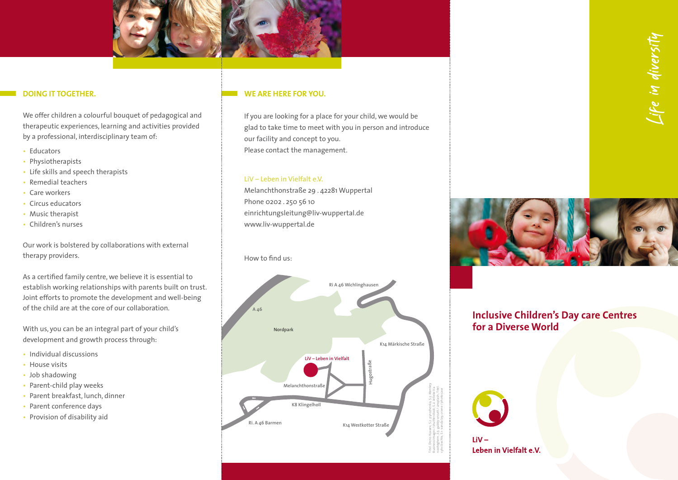

### **DOING IT TOGETHER.**

We offer children a colourful bouquet of pedagogical and therapeutic experiences, learning and activities provided by a professional, interdisciplinary team of:

- Educators
- Physiotherapists
- Life skills and speech therapists
- Remedial teachers
- Care workers
- Circus educators
- Music therapist
- Children's nurses

Our work is bolstered by collaborations with external therapy providers.

As a certified family centre, we believe it is essential to establish working relationships with parents built on trust. Joint efforts to promote the development and well-being of the child are at the core of our collaboration.

With us, you can be an integral part of your child's development and growth process through:

- Individual discussions
- House visits
- Job shadowing
- Parent-child play weeks
- Parent breakfast, lunch, dinner
- Parent conference days
- Provision of disability aid

### **WE ARE HERE FOR YOU.**

If you are looking for a place for your child, we would be glad to take time to meet with you in person and introduce our facility and concept to you. Please contact the management.

### **LiV – Leben in Vielfalt e.V.**

Melanchthonstraße 29 . 42281 Wuppertal Phone 0202 . 250 56 10 einrichtungsleitung@liv-wuppertal.de www.liv-wuppertal.de

### How to find us:



# Life in diversity



## **Inclusive Children's Day care Centres for a Diverse World**



Leben in Vielfalt e.V.